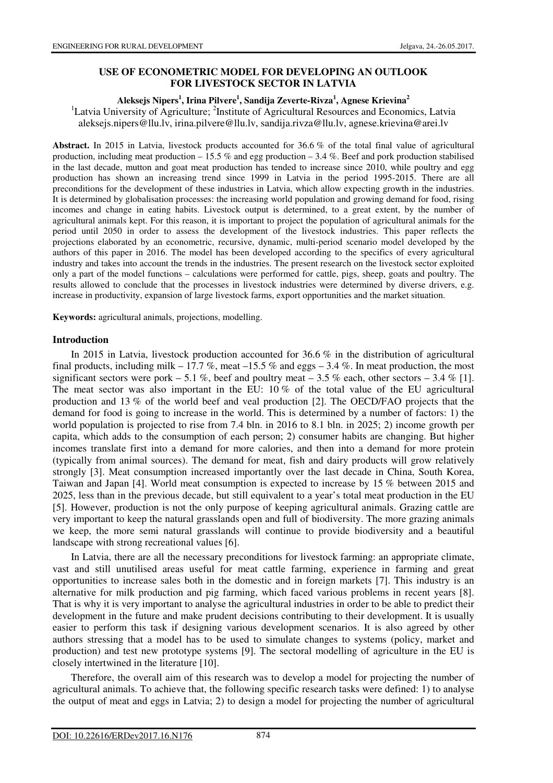# **USE OF ECONOMETRIC MODEL FOR DEVELOPING AN OUTLOOK FOR LIVESTOCK SECTOR IN LATVIA**

## **Aleksejs Nipers<sup>1</sup> , Irina Pilvere<sup>1</sup> , Sandija Zeverte-Rivza<sup>1</sup> , Agnese Krievina<sup>2</sup>**

<sup>1</sup>Latvia University of Agriculture; <sup>2</sup>Institute of Agricultural Resources and Economics, Latvia aleksejs.nipers@llu.lv, irina.pilvere@llu.lv, sandija.rivza@llu.lv, agnese.krievina@arei.lv

**Abstract.** In 2015 in Latvia, livestock products accounted for 36.6 % of the total final value of agricultural production, including meat production – 15.5 % and egg production – 3.4 %. Beef and pork production stabilised in the last decade, mutton and goat meat production has tended to increase since 2010, while poultry and egg production has shown an increasing trend since 1999 in Latvia in the period 1995-2015. There are all preconditions for the development of these industries in Latvia, which allow expecting growth in the industries. It is determined by globalisation processes: the increasing world population and growing demand for food, rising incomes and change in eating habits. Livestock output is determined, to a great extent, by the number of agricultural animals kept. For this reason, it is important to project the population of agricultural animals for the period until 2050 in order to assess the development of the livestock industries. This paper reflects the projections elaborated by an econometric, recursive, dynamic, multi-period scenario model developed by the authors of this paper in 2016. The model has been developed according to the specifics of every agricultural industry and takes into account the trends in the industries. The present research on the livestock sector exploited only a part of the model functions – calculations were performed for cattle, pigs, sheep, goats and poultry. The results allowed to conclude that the processes in livestock industries were determined by diverse drivers, e.g. increase in productivity, expansion of large livestock farms, export opportunities and the market situation.

**Keywords:** agricultural animals, projections, modelling.

## **Introduction**

In 2015 in Latvia, livestock production accounted for 36.6 % in the distribution of agricultural final products, including milk – 17.7 %, meat –15.5 % and eggs – 3.4 %. In meat production, the most significant sectors were pork – 5.1 %, beef and poultry meat – 3.5 % each, other sectors – 3.4 % [1]. The meat sector was also important in the EU: 10 % of the total value of the EU agricultural production and 13 % of the world beef and veal production [2]. The OECD/FAO projects that the demand for food is going to increase in the world. This is determined by a number of factors: 1) the world population is projected to rise from 7.4 bln. in 2016 to 8.1 bln. in 2025; 2) income growth per capita, which adds to the consumption of each person; 2) consumer habits are changing. But higher incomes translate first into a demand for more calories, and then into a demand for more protein (typically from animal sources). The demand for meat, fish and dairy products will grow relatively strongly [3]. Meat consumption increased importantly over the last decade in China, South Korea, Taiwan and Japan [4]. World meat consumption is expected to increase by 15 % between 2015 and 2025, less than in the previous decade, but still equivalent to a year's total meat production in the EU [5]. However, production is not the only purpose of keeping agricultural animals. Grazing cattle are very important to keep the natural grasslands open and full of biodiversity. The more grazing animals we keep, the more semi natural grasslands will continue to provide biodiversity and a beautiful landscape with strong recreational values [6].

In Latvia, there are all the necessary preconditions for livestock farming: an appropriate climate, vast and still unutilised areas useful for meat cattle farming, experience in farming and great opportunities to increase sales both in the domestic and in foreign markets [7]. This industry is an alternative for milk production and pig farming, which faced various problems in recent years [8]. That is why it is very important to analyse the agricultural industries in order to be able to predict their development in the future and make prudent decisions contributing to their development. It is usually easier to perform this task if designing various development scenarios. It is also agreed by other authors stressing that a model has to be used to simulate changes to systems (policy, market and production) and test new prototype systems [9]. The sectoral modelling of agriculture in the EU is closely intertwined in the literature [10].

Therefore, the overall aim of this research was to develop a model for projecting the number of agricultural animals. To achieve that, the following specific research tasks were defined: 1) to analyse the output of meat and eggs in Latvia; 2) to design a model for projecting the number of agricultural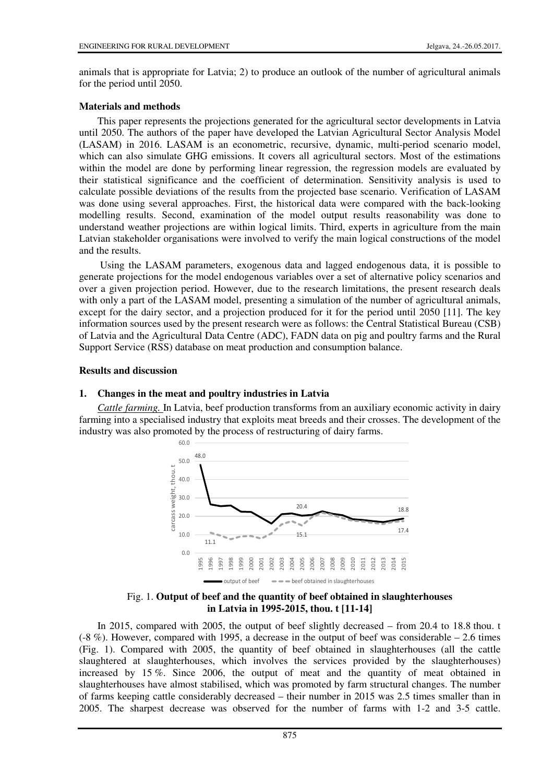animals that is appropriate for Latvia; 2) to produce an outlook of the number of agricultural animals for the period until 2050.

## **Materials and methods**

This paper represents the projections generated for the agricultural sector developments in Latvia until 2050. The authors of the paper have developed the Latvian Agricultural Sector Analysis Model (LASAM) in 2016. LASAM is an econometric, recursive, dynamic, multi-period scenario model, which can also simulate GHG emissions. It covers all agricultural sectors. Most of the estimations within the model are done by performing linear regression, the regression models are evaluated by their statistical significance and the coefficient of determination. Sensitivity analysis is used to calculate possible deviations of the results from the projected base scenario. Verification of LASAM was done using several approaches. First, the historical data were compared with the back-looking modelling results. Second, examination of the model output results reasonability was done to understand weather projections are within logical limits. Third, experts in agriculture from the main Latvian stakeholder organisations were involved to verify the main logical constructions of the model and the results.

 Using the LASAM parameters, exogenous data and lagged endogenous data, it is possible to generate projections for the model endogenous variables over a set of alternative policy scenarios and over a given projection period. However, due to the research limitations, the present research deals with only a part of the LASAM model, presenting a simulation of the number of agricultural animals, except for the dairy sector, and a projection produced for it for the period until 2050 [11]. The key information sources used by the present research were as follows: the Central Statistical Bureau (CSB) of Latvia and the Agricultural Data Centre (ADC), FADN data on pig and poultry farms and the Rural Support Service (RSS) database on meat production and consumption balance.

## **Results and discussion**

# **1. Changes in the meat and poultry industries in Latvia**

*Cattle farming.* In Latvia, beef production transforms from an auxiliary economic activity in dairy farming into a specialised industry that exploits meat breeds and their crosses. The development of the industry was also promoted by the process of restructuring of dairy farms.



## Fig. 1. **Output of beef and the quantity of beef obtained in slaughterhouses in Latvia in 1995-2015, thou. t [11-14]**

In 2015, compared with 2005, the output of beef slightly decreased – from 20.4 to 18.8 thou. t  $(-8%)$ . However, compared with 1995, a decrease in the output of beef was considerable – 2.6 times (Fig. 1). Compared with 2005, the quantity of beef obtained in slaughterhouses (all the cattle slaughtered at slaughterhouses, which involves the services provided by the slaughterhouses) increased by 15 %. Since 2006, the output of meat and the quantity of meat obtained in slaughterhouses have almost stabilised, which was promoted by farm structural changes. The number of farms keeping cattle considerably decreased – their number in 2015 was 2.5 times smaller than in 2005. The sharpest decrease was observed for the number of farms with 1-2 and 3-5 cattle.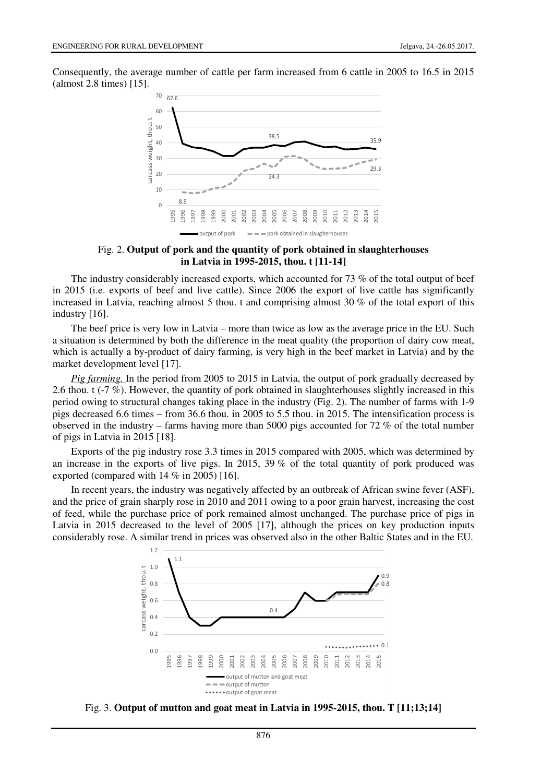Consequently, the average number of cattle per farm increased from 6 cattle in 2005 to 16.5 in 2015 (almost 2.8 times) [15].



Fig. 2. **Output of pork and the quantity of pork obtained in slaughterhouses in Latvia in 1995-2015, thou. t [11-14]**

The industry considerably increased exports, which accounted for 73 % of the total output of beef in 2015 (i.e. exports of beef and live cattle). Since 2006 the export of live cattle has significantly increased in Latvia, reaching almost 5 thou. t and comprising almost 30 % of the total export of this industry [16].

The beef price is very low in Latvia – more than twice as low as the average price in the EU. Such a situation is determined by both the difference in the meat quality (the proportion of dairy cow meat, which is actually a by-product of dairy farming, is very high in the beef market in Latvia) and by the market development level [17].

*Pig farming.* In the period from 2005 to 2015 in Latvia, the output of pork gradually decreased by 2.6 thou. t (-7 %). However, the quantity of pork obtained in slaughterhouses slightly increased in this period owing to structural changes taking place in the industry (Fig. 2). The number of farms with 1-9 pigs decreased 6.6 times – from 36.6 thou. in 2005 to 5.5 thou. in 2015. The intensification process is observed in the industry – farms having more than 5000 pigs accounted for 72 % of the total number of pigs in Latvia in 2015 [18].

Exports of the pig industry rose 3.3 times in 2015 compared with 2005, which was determined by an increase in the exports of live pigs. In 2015, 39 % of the total quantity of pork produced was exported (compared with 14 % in 2005) [16].

In recent years, the industry was negatively affected by an outbreak of African swine fever (ASF), and the price of grain sharply rose in 2010 and 2011 owing to a poor grain harvest, increasing the cost of feed, while the purchase price of pork remained almost unchanged. The purchase price of pigs in Latvia in 2015 decreased to the level of 2005 [17], although the prices on key production inputs considerably rose. A similar trend in prices was observed also in the other Baltic States and in the EU.



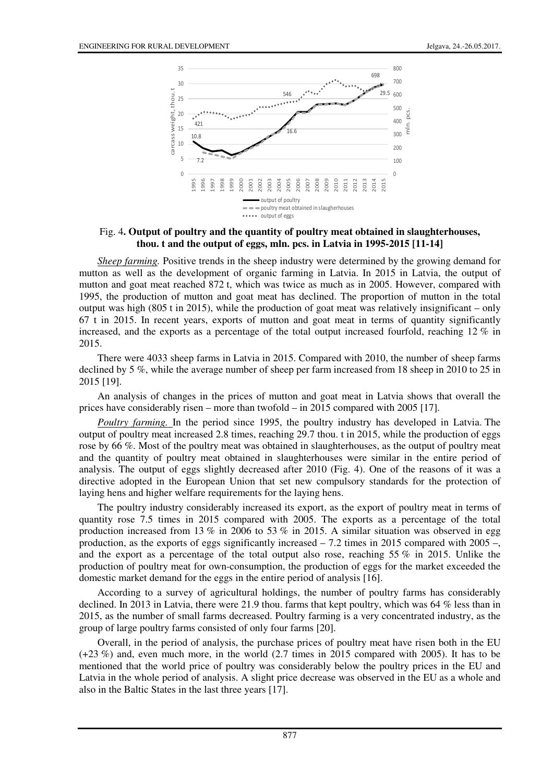

## Fig. 4**. Output of poultry and the quantity of poultry meat obtained in slaughterhouses, thou. t and the output of eggs, mln. pcs. in Latvia in 1995-2015 [11-14]**

*Sheep farming.* Positive trends in the sheep industry were determined by the growing demand for mutton as well as the development of organic farming in Latvia. In 2015 in Latvia, the output of mutton and goat meat reached 872 t, which was twice as much as in 2005. However, compared with 1995, the production of mutton and goat meat has declined. The proportion of mutton in the total output was high  $(805 \text{ t in } 2015)$ , while the production of goat meat was relatively insignificant – only 67 t in 2015. In recent years, exports of mutton and goat meat in terms of quantity significantly increased, and the exports as a percentage of the total output increased fourfold, reaching  $12\%$  in 2015.

There were 4033 sheep farms in Latvia in 2015. Compared with 2010, the number of sheep farms declined by 5 %, while the average number of sheep per farm increased from 18 sheep in 2010 to 25 in 2015 [19].

An analysis of changes in the prices of mutton and goat meat in Latvia shows that overall the prices have considerably risen – more than twofold – in 2015 compared with 2005 [17].

*Poultry farming.* In the period since 1995, the poultry industry has developed in Latvia. The output of poultry meat increased 2.8 times, reaching 29.7 thou. t in 2015, while the production of eggs rose by 66 %. Most of the poultry meat was obtained in slaughterhouses, as the output of poultry meat and the quantity of poultry meat obtained in slaughterhouses were similar in the entire period of analysis. The output of eggs slightly decreased after 2010 (Fig. 4). One of the reasons of it was a directive adopted in the European Union that set new compulsory standards for the protection of laying hens and higher welfare requirements for the laying hens.

The poultry industry considerably increased its export, as the export of poultry meat in terms of quantity rose 7.5 times in 2015 compared with 2005. The exports as a percentage of the total production increased from 13  $\%$  in 2006 to 53  $\%$  in 2015. A similar situation was observed in egg production, as the exports of eggs significantly increased – 7.2 times in 2015 compared with 2005 –, and the export as a percentage of the total output also rose, reaching  $55\%$  in 2015. Unlike the production of poultry meat for own-consumption, the production of eggs for the market exceeded the domestic market demand for the eggs in the entire period of analysis [16].

According to a survey of agricultural holdings, the number of poultry farms has considerably declined. In 2013 in Latvia, there were 21.9 thou. farms that kept poultry, which was 64 % less than in 2015, as the number of small farms decreased. Poultry farming is a very concentrated industry, as the group of large poultry farms consisted of only four farms [20].

Overall, in the period of analysis, the purchase prices of poultry meat have risen both in the EU (+23 %) and, even much more, in the world (2.7 times in 2015 compared with 2005). It has to be mentioned that the world price of poultry was considerably below the poultry prices in the EU and Latvia in the whole period of analysis. A slight price decrease was observed in the EU as a whole and also in the Baltic States in the last three years [17].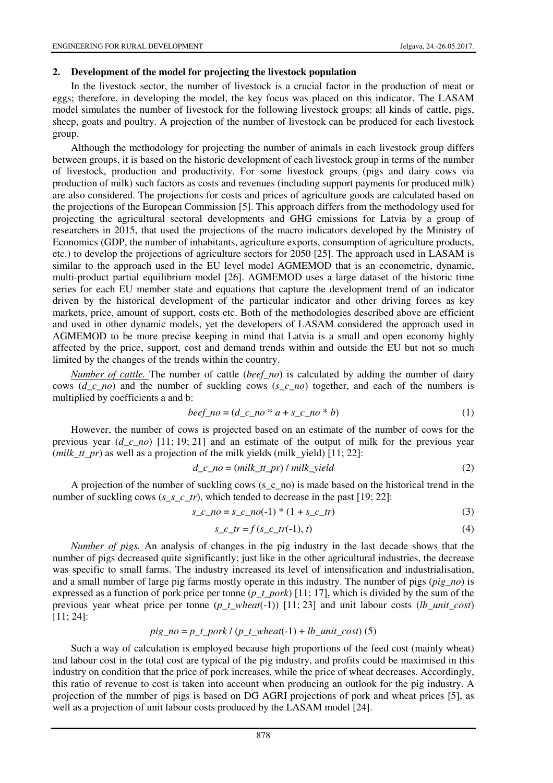#### **2. Development of the model for projecting the livestock population**

In the livestock sector, the number of livestock is a crucial factor in the production of meat or eggs; therefore, in developing the model, the key focus was placed on this indicator. The LASAM model simulates the number of livestock for the following livestock groups: all kinds of cattle, pigs, sheep, goats and poultry. A projection of the number of livestock can be produced for each livestock group.

Although the methodology for projecting the number of animals in each livestock group differs between groups, it is based on the historic development of each livestock group in terms of the number of livestock, production and productivity. For some livestock groups (pigs and dairy cows via production of milk) such factors as costs and revenues (including support payments for produced milk) are also considered. The projections for costs and prices of agriculture goods are calculated based on the projections of the European Commission [5]. This approach differs from the methodology used for projecting the agricultural sectoral developments and GHG emissions for Latvia by a group of researchers in 2015, that used the projections of the macro indicators developed by the Ministry of Economics (GDP, the number of inhabitants, agriculture exports, consumption of agriculture products, etc.) to develop the projections of agriculture sectors for 2050 [25]. The approach used in LASAM is similar to the approach used in the EU level model AGMEMOD that is an econometric, dynamic, multi-product partial equilibrium model [26]. AGMEMOD uses a large dataset of the historic time series for each EU member state and equations that capture the development trend of an indicator driven by the historical development of the particular indicator and other driving forces as key markets, price, amount of support, costs etc. Both of the methodologies described above are efficient and used in other dynamic models, yet the developers of LASAM considered the approach used in AGMEMOD to be more precise keeping in mind that Latvia is a small and open economy highly affected by the price, support, cost and demand trends within and outside the EU but not so much limited by the changes of the trends within the country.

*Number of cattle.* The number of cattle (*beef\_no*) is calculated by adding the number of dairy cows (*d\_c\_no*) and the number of suckling cows (*s\_c\_no*) together, and each of the numbers is multiplied by coefficients a and b:

$$
beef\_no = (d\_c\_no * a + s\_c\_no * b)
$$
 (1)

However, the number of cows is projected based on an estimate of the number of cows for the previous year (*d\_c\_no*) [11; 19; 21] and an estimate of the output of milk for the previous year (*milk tt pr*) as well as a projection of the milk yields (milk yield)  $[11; 22]$ :

$$
d_c\_\{no = (milk_ttr_pr) / milk_yield} \tag{2}
$$

A projection of the number of suckling cows (s  $\bar{c}$  no) is made based on the historical trend in the number of suckling cows (*s\_s\_c\_tr*), which tended to decrease in the past [19; 22]:

$$
s_c \cdot n \cdot o = s_c \cdot n \cdot o(-1) * (1 + s_c \cdot t)
$$
\n(3)

$$
s_c t = f(s_c t - t) \tag{4}
$$

*Number of pigs.* An analysis of changes in the pig industry in the last decade shows that the number of pigs decreased quite significantly; just like in the other agricultural industries, the decrease was specific to small farms. The industry increased its level of intensification and industrialisation, and a small number of large pig farms mostly operate in this industry. The number of pigs (*pig\_no*) is expressed as a function of pork price per tonne (*p\_t\_pork*) [11; 17], which is divided by the sum of the previous year wheat price per tonne (*p\_t\_wheat*(-1)) [11; 23] and unit labour costs (*lb\_unit\_cost*) [11; 24]:

## $pig\_no = p_t\_pork / (p_t\_wheat(-1) + lb\_unit\_cost)$  (5)

Such a way of calculation is employed because high proportions of the feed cost (mainly wheat) and labour cost in the total cost are typical of the pig industry, and profits could be maximised in this industry on condition that the price of pork increases, while the price of wheat decreases. Accordingly, this ratio of revenue to cost is taken into account when producing an outlook for the pig industry. A projection of the number of pigs is based on DG AGRI projections of pork and wheat prices [5], as well as a projection of unit labour costs produced by the LASAM model [24].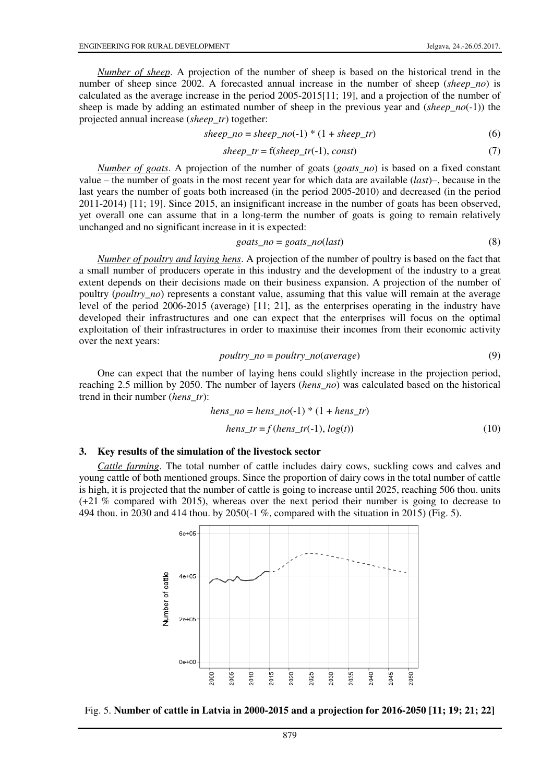*Number of sheep*. A projection of the number of sheep is based on the historical trend in the number of sheep since 2002. A forecasted annual increase in the number of sheep (*sheep no*) is calculated as the average increase in the period 2005-2015[11; 19], and a projection of the number of sheep is made by adding an estimated number of sheep in the previous year and (*sheep no*(-1)) the projected annual increase (*sheep\_tr*) together:

$$
sheep\_no = sheep\_no(-1) * (1 + sheep\_tr)
$$
 (6)

$$
sheep\_tr = f(sheep\_tr(-1), const)
$$
\n(7)

*Number of goats*. A projection of the number of goats (*goats\_no*) is based on a fixed constant value – the number of goats in the most recent year for which data are available (*last*)–, because in the last years the number of goats both increased (in the period 2005-2010) and decreased (in the period 2011-2014) [11; 19]. Since 2015, an insignificant increase in the number of goats has been observed, yet overall one can assume that in a long-term the number of goats is going to remain relatively unchanged and no significant increase in it is expected:

$$
goats\_no = goats\_no(last)
$$
\n(8)

*Number of poultry and laying hens*. A projection of the number of poultry is based on the fact that a small number of producers operate in this industry and the development of the industry to a great extent depends on their decisions made on their business expansion. A projection of the number of poultry (*poultry\_no*) represents a constant value, assuming that this value will remain at the average level of the period 2006-2015 (average) [11; 21], as the enterprises operating in the industry have developed their infrastructures and one can expect that the enterprises will focus on the optimal exploitation of their infrastructures in order to maximise their incomes from their economic activity over the next years:

$$
poultry\_no = poultry\_no(average)
$$
\n(9)

One can expect that the number of laying hens could slightly increase in the projection period, reaching 2.5 million by 2050. The number of layers (*hens\_no*) was calculated based on the historical trend in their number (*hens\_tr*):

*hens\_no* = *hens\_no*(-1) \* (1 + *hens\_tr*) *hens\_tr* = *f* (*hens\_tr*(-1), *log*(*t*)) (10)

#### **3. Key results of the simulation of the livestock sector**

*Cattle farming*. The total number of cattle includes dairy cows, suckling cows and calves and young cattle of both mentioned groups. Since the proportion of dairy cows in the total number of cattle is high, it is projected that the number of cattle is going to increase until 2025, reaching 506 thou. units (+21 % compared with 2015), whereas over the next period their number is going to decrease to 494 thou. in 2030 and 414 thou. by 2050(-1 %, compared with the situation in 2015) (Fig. 5).



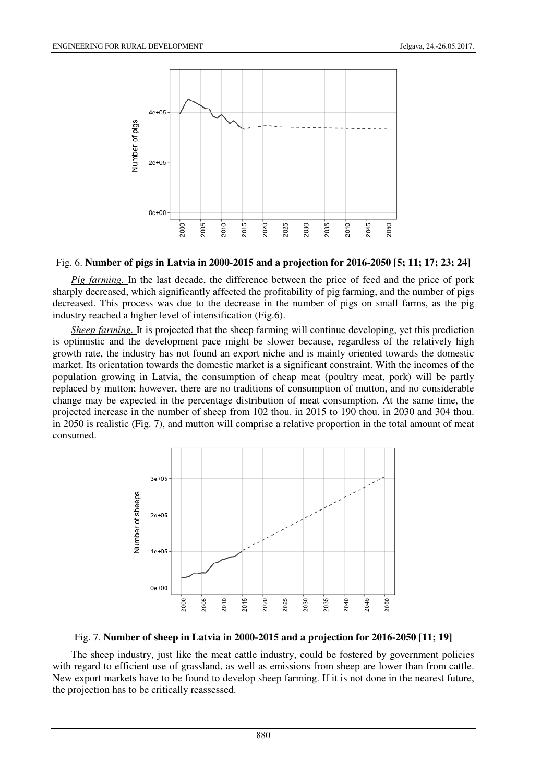

#### Fig. 6. **Number of pigs in Latvia in 2000-2015 and a projection for 2016-2050 [5; 11; 17; 23; 24]**

*Pig farming.* In the last decade, the difference between the price of feed and the price of pork sharply decreased, which significantly affected the profitability of pig farming, and the number of pigs decreased. This process was due to the decrease in the number of pigs on small farms, as the pig industry reached a higher level of intensification (Fig.6).

*Sheep farming.* It is projected that the sheep farming will continue developing, yet this prediction is optimistic and the development pace might be slower because, regardless of the relatively high growth rate, the industry has not found an export niche and is mainly oriented towards the domestic market. Its orientation towards the domestic market is a significant constraint. With the incomes of the population growing in Latvia, the consumption of cheap meat (poultry meat, pork) will be partly replaced by mutton; however, there are no traditions of consumption of mutton, and no considerable change may be expected in the percentage distribution of meat consumption. At the same time, the projected increase in the number of sheep from 102 thou. in 2015 to 190 thou. in 2030 and 304 thou. in 2050 is realistic (Fig. 7), and mutton will comprise a relative proportion in the total amount of meat consumed.



## Fig. 7. **Number of sheep in Latvia in 2000-2015 and a projection for 2016-2050 [11; 19]**

The sheep industry, just like the meat cattle industry, could be fostered by government policies with regard to efficient use of grassland, as well as emissions from sheep are lower than from cattle. New export markets have to be found to develop sheep farming. If it is not done in the nearest future, the projection has to be critically reassessed.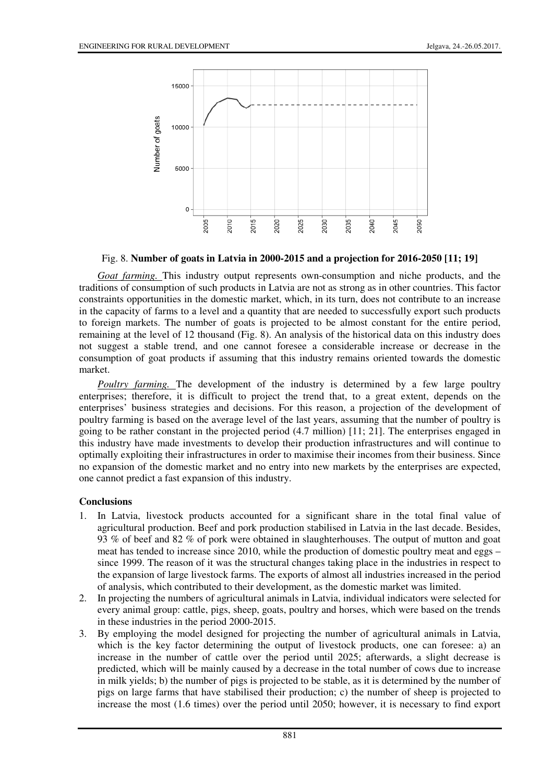

Fig. 8. **Number of goats in Latvia in 2000-2015 and a projection for 2016-2050 [11; 19]**

*Goat farming.* This industry output represents own-consumption and niche products, and the traditions of consumption of such products in Latvia are not as strong as in other countries. This factor constraints opportunities in the domestic market, which, in its turn, does not contribute to an increase in the capacity of farms to a level and a quantity that are needed to successfully export such products to foreign markets. The number of goats is projected to be almost constant for the entire period, remaining at the level of 12 thousand (Fig. 8). An analysis of the historical data on this industry does not suggest a stable trend, and one cannot foresee a considerable increase or decrease in the consumption of goat products if assuming that this industry remains oriented towards the domestic market.

*Poultry farming.* The development of the industry is determined by a few large poultry enterprises; therefore, it is difficult to project the trend that, to a great extent, depends on the enterprises' business strategies and decisions. For this reason, a projection of the development of poultry farming is based on the average level of the last years, assuming that the number of poultry is going to be rather constant in the projected period (4.7 million) [11; 21]. The enterprises engaged in this industry have made investments to develop their production infrastructures and will continue to optimally exploiting their infrastructures in order to maximise their incomes from their business. Since no expansion of the domestic market and no entry into new markets by the enterprises are expected, one cannot predict a fast expansion of this industry.

## **Conclusions**

- 1. In Latvia, livestock products accounted for a significant share in the total final value of agricultural production. Beef and pork production stabilised in Latvia in the last decade. Besides, 93 % of beef and 82 % of pork were obtained in slaughterhouses. The output of mutton and goat meat has tended to increase since 2010, while the production of domestic poultry meat and eggs – since 1999. The reason of it was the structural changes taking place in the industries in respect to the expansion of large livestock farms. The exports of almost all industries increased in the period of analysis, which contributed to their development, as the domestic market was limited.
- 2. In projecting the numbers of agricultural animals in Latvia, individual indicators were selected for every animal group: cattle, pigs, sheep, goats, poultry and horses, which were based on the trends in these industries in the period 2000-2015.
- 3. By employing the model designed for projecting the number of agricultural animals in Latvia, which is the key factor determining the output of livestock products, one can foresee: a) an increase in the number of cattle over the period until 2025; afterwards, a slight decrease is predicted, which will be mainly caused by a decrease in the total number of cows due to increase in milk yields; b) the number of pigs is projected to be stable, as it is determined by the number of pigs on large farms that have stabilised their production; c) the number of sheep is projected to increase the most (1.6 times) over the period until 2050; however, it is necessary to find export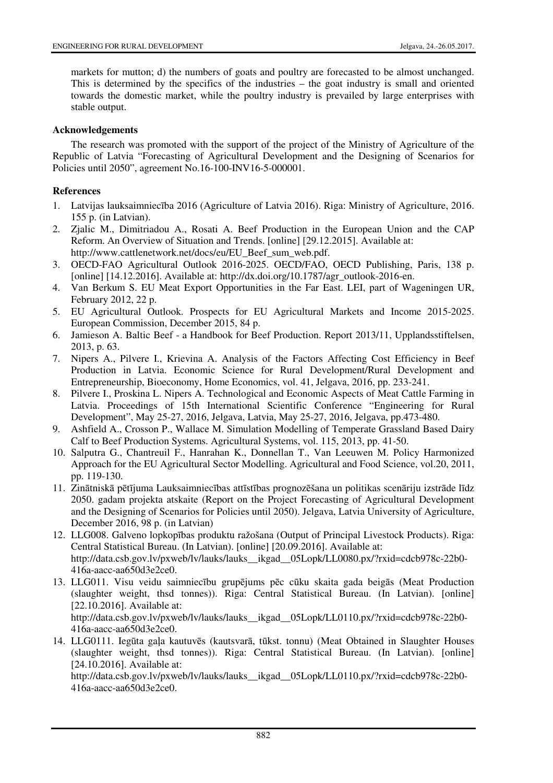markets for mutton; d) the numbers of goats and poultry are forecasted to be almost unchanged. This is determined by the specifics of the industries – the goat industry is small and oriented towards the domestic market, while the poultry industry is prevailed by large enterprises with stable output.

## **Acknowledgements**

The research was promoted with the support of the project of the Ministry of Agriculture of the Republic of Latvia "Forecasting of Agricultural Development and the Designing of Scenarios for Policies until 2050", agreement No.16-100-INV16-5-000001.

# **References**

- 1. Latvijas lauksaimniecība 2016 (Agriculture of Latvia 2016). Riga: Ministry of Agriculture, 2016. 155 p. (in Latvian).
- 2. Zjalic M., Dimitriadou A., Rosati A. Beef Production in the European Union and the CAP Reform. An Overview of Situation and Trends. [online] [29.12.2015]. Available at: http://www.cattlenetwork.net/docs/eu/EU\_Beef\_sum\_web.pdf.
- 3. OECD-FAO Agricultural Outlook 2016-2025. OECD/FAO, OECD Publishing, Paris, 138 p. [online]  $[14.12.2016]$ . Available at: http://dx.doi.org/10.1787/agr\_outlook-2016-en.
- 4. Van Berkum S. EU Meat Export Opportunities in the Far East. LEI, part of Wageningen UR, February 2012, 22 p.
- 5. EU Agricultural Outlook. Prospects for EU Agricultural Markets and Income 2015-2025. European Commission, December 2015, 84 p.
- 6. Jamieson A. Baltic Beef a Handbook for Beef Production. Report 2013/11, Upplandsstiftelsen, 2013, p. 63.
- 7. Nipers A., Pilvere I., Krievina A. Analysis of the Factors Affecting Cost Efficiency in Beef Production in Latvia. Economic Science for Rural Development/Rural Development and Entrepreneurship, Bioeconomy, Home Economics, vol. 41, Jelgava, 2016, pp. 233-241.
- 8. Pilvere I., Proskina L. Nipers A. Technological and Economic Aspects of Meat Cattle Farming in Latvia. Proceedings of 15th International Scientific Conference "Engineering for Rural Development", May 25-27, 2016, Jelgava, Latvia, May 25-27, 2016, Jelgava, pp.473-480.
- 9. Ashfield A., Crosson P., Wallace M. Simulation Modelling of Temperate Grassland Based Dairy Calf to Beef Production Systems. Agricultural Systems, vol. 115, 2013, pp. 41-50.
- 10. Salputra G., Chantreuil F., Hanrahan K., Donnellan T., Van Leeuwen M. Policy Harmonized Approach for the EU Agricultural Sector Modelling. Agricultural and Food Science, vol.20, 2011, pp. 119-130.
- 11. Zinātniskā pētījuma Lauksaimniecības attīstības prognozēšana un politikas scenāriju izstrāde līdz 2050. gadam projekta atskaite (Report on the Project Forecasting of Agricultural Development and the Designing of Scenarios for Policies until 2050). Jelgava, Latvia University of Agriculture, December 2016, 98 p. (in Latvian)
- 12. LLG008. Galveno lopkopības produktu ražošana (Output of Principal Livestock Products). Riga: Central Statistical Bureau. (In Latvian). [online] [20.09.2016]. Available at: http://data.csb.gov.lv/pxweb/lv/lauks/lauks\_ikgad\_05Lopk/LL0080.px/?rxid=cdcb978c-22b0-416a-aacc-aa650d3e2ce0.
- 13. LLG011. Visu veidu saimniecību grupējums pēc cūku skaita gada beigās (Meat Production (slaughter weight, thsd tonnes)). Riga: Central Statistical Bureau. (In Latvian). [online] [22.10.2016]. Available at: http://data.csb.gov.lv/pxweb/lv/lauks/lauks\_\_ikgad\_\_05Lopk/LL0110.px/?rxid=cdcb978c-22b0- 416a-aacc-aa650d3e2ce0.
- 14. LLG0111. Iegūta gaļa kautuvēs (kautsvarā, tūkst. tonnu) (Meat Obtained in Slaughter Houses (slaughter weight, thsd tonnes)). Riga: Central Statistical Bureau. (In Latvian). [online] [24.10.2016]. Available at:

http://data.csb.gov.lv/pxweb/lv/lauks/lauks\_\_ikgad\_\_05Lopk/LL0110.px/?rxid=cdcb978c-22b0- 416a-aacc-aa650d3e2ce0.